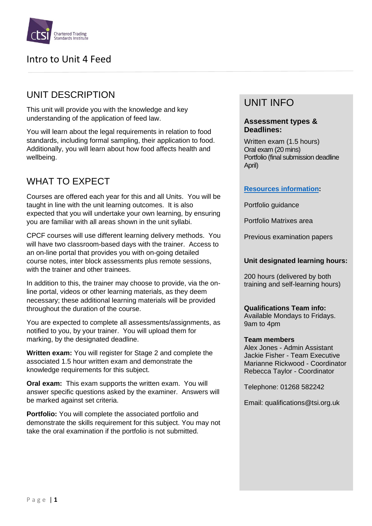

# UNIT DESCRIPTION

This unit will provide you with the knowledge and key understanding of the application of feed law.

You will learn about the legal requirements in relation to food standards, including formal sampling, their application to food. Additionally, you will learn about how food affects health and wellbeing.

# WHAT TO EXPECT

Courses are offered each year for this and all Units. You will be taught in line with the unit learning outcomes. It is also expected that you will undertake your own learning, by ensuring you are familiar with all areas shown in the unit syllabi.

CPCF courses will use different learning delivery methods. You will have two classroom-based days with the trainer. Access to an on-line portal that provides you with on-going detailed course notes, inter block assessments plus remote sessions, with the trainer and other trainees.

In addition to this, the trainer may choose to provide, via the online portal, videos or other learning materials, as they deem necessary; these additional learning materials will be provided throughout the duration of the course.

You are expected to complete all assessments/assignments, as notified to you, by your trainer. You will upload them for marking, by the designated deadline.

**Written exam:** You will register for Stage 2 and complete the associated 1.5 hour written exam and demonstrate the knowledge requirements for this subject.

**Oral exam:** This exam supports the written exam. You will answer specific questions asked by the examiner. Answers will be marked against set criteria.

**Portfolio:** You will complete the associated portfolio and demonstrate the skills requirement for this subject. You may not take the oral examination if the portfolio is not submitted.

# UNIT INFO

#### **Assessment types & Deadlines:**

Written exam (1.5 hours) Oral exam (20 mins) Portfolio (final submission deadline April)

### **[Resources information:](https://www.tradingstandards.uk/practitioners/training-development/qualifications-resources)**

Portfolio guidance

Portfolio Matrixes area

Previous examination papers

#### **Unit designated learning hours:**

200 hours (delivered by both training and self-learning hours)

### **Qualifications Team info:**

Available Mondays to Fridays. 9am to 4pm

#### **Team members**

Alex Jones - Admin Assistant Jackie Fisher - Team Executive Marianne Rickwood - Coordinator Rebecca Taylor - Coordinator

Telephone: 01268 582242

Email: qualifications@tsi.org.uk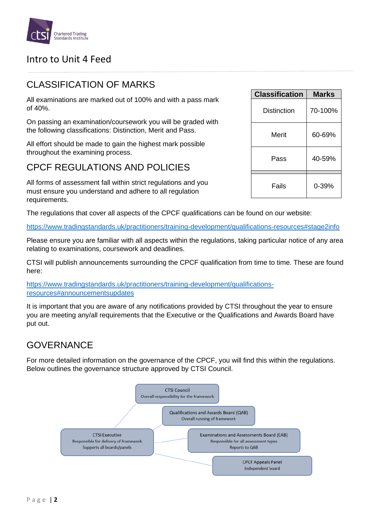

## CLASSIFICATION OF MARKS

All examinations are marked out of 100% and with a pass mark of 40%.

On passing an examination/coursework you will be graded with the following classifications: Distinction, Merit and Pass.

All effort should be made to gain the highest mark possible throughout the examining process.

# CPCF REGULATIONS AND POLICIES

All forms of assessment fall within strict regulations and you must ensure you understand and adhere to all regulation requirements.

The regulations that cover all aspects of the CPCF qualifications can be found on our website:

<https://www.tradingstandards.uk/practitioners/training-development/qualifications-resources#stage2info>

Please ensure you are familiar with all aspects within the regulations, taking particular notice of any area relating to examinations, coursework and deadlines.

CTSI will publish announcements surrounding the CPCF qualification from time to time. These are found here:

[https://www.tradingstandards.uk/practitioners/training-development/qualifications](https://www.tradingstandards.uk/practitioners/training-development/qualifications-resources#announcementsupdates)[resources#announcementsupdates](https://www.tradingstandards.uk/practitioners/training-development/qualifications-resources#announcementsupdates)

It is important that you are aware of any notifications provided by CTSI throughout the year to ensure you are meeting any/all requirements that the Executive or the Qualifications and Awards Board have put out.

### GOVERNANCE

For more detailed information on the governance of the CPCF, you will find this within the regulations. Below outlines the governance structure approved by CTSI Council.



| <b>Classification</b> | <b>Marks</b> |
|-----------------------|--------------|
| Distinction           | 70-100%      |
| Merit                 | 60-69%       |
| Pass                  | 40-59%       |
| Fails                 | 0-39%        |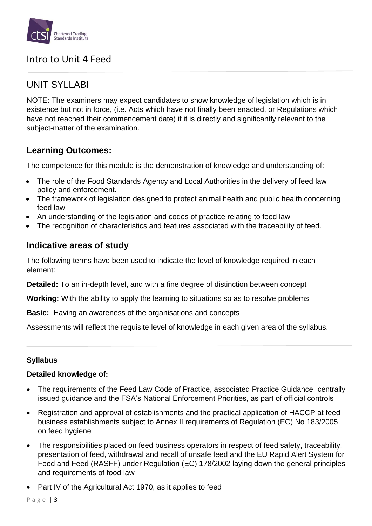

### UNIT SYLLABI

NOTE: The examiners may expect candidates to show knowledge of legislation which is in existence but not in force, (i.e. Acts which have not finally been enacted, or Regulations which have not reached their commencement date) if it is directly and significantly relevant to the subject-matter of the examination.

### **Learning Outcomes:**

The competence for this module is the demonstration of knowledge and understanding of:

- The role of the Food Standards Agency and Local Authorities in the delivery of feed law policy and enforcement.
- The framework of legislation designed to protect animal health and public health concerning feed law
- An understanding of the legislation and codes of practice relating to feed law
- The recognition of characteristics and features associated with the traceability of feed.

### **Indicative areas of study**

The following terms have been used to indicate the level of knowledge required in each element:

**Detailed:** To an in-depth level, and with a fine degree of distinction between concept

**Working:** With the ability to apply the learning to situations so as to resolve problems

**Basic:** Having an awareness of the organisations and concepts

Assessments will reflect the requisite level of knowledge in each given area of the syllabus.

### **Syllabus**

### **Detailed knowledge of:**

- The requirements of the Feed Law Code of Practice, associated Practice Guidance, centrally issued guidance and the FSA's National Enforcement Priorities, as part of official controls
- Registration and approval of establishments and the practical application of HACCP at feed business establishments subject to Annex II requirements of Regulation (EC) No 183/2005 on feed hygiene
- The responsibilities placed on feed business operators in respect of feed safety, traceability, presentation of feed, withdrawal and recall of unsafe feed and the EU Rapid Alert System for Food and Feed (RASFF) under Regulation (EC) 178/2002 laying down the general principles and requirements of food law
- Part IV of the Agricultural Act 1970, as it applies to feed